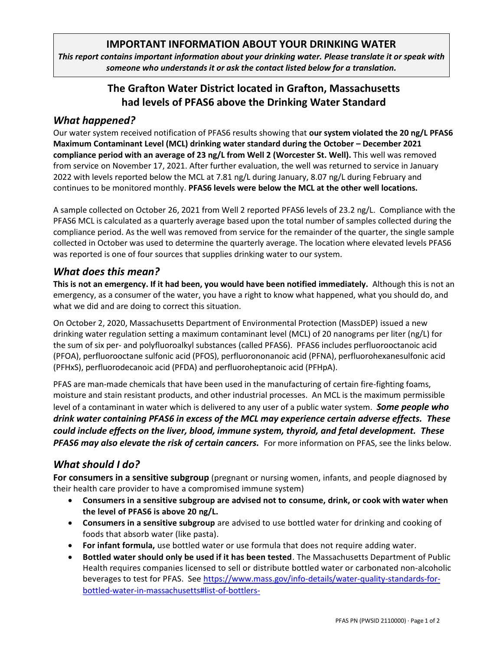### **IMPORTANT INFORMATION ABOUT YOUR DRINKING WATER**

*This report contains important information about your drinking water. Please translate it or speak with someone who understands it or ask the contact listed below for a translation.*

## **The Grafton Water District located in Grafton, Massachusetts had levels of PFAS6 above the Drinking Water Standard**

### *What happened?*

Our water system received notification of PFAS6 results showing that **our system violated the 20 ng/L PFAS6 Maximum Contaminant Level (MCL) drinking water standard during the October – December 2021 compliance period with an average of 23 ng/L from Well 2 (Worcester St. Well).** This well was removed from service on November 17, 2021. After further evaluation, the well was returned to service in January 2022 with levels reported below the MCL at 7.81 ng/L during January, 8.07 ng/L during February and continues to be monitored monthly. **PFAS6 levels were below the MCL at the other well locations.**

A sample collected on October 26, 2021 from Well 2 reported PFAS6 levels of 23.2 ng/L. Compliance with the PFAS6 MCL is calculated as a quarterly average based upon the total number of samples collected during the compliance period. As the well was removed from service for the remainder of the quarter, the single sample collected in October was used to determine the quarterly average. The location where elevated levels PFAS6 was reported is one of four sources that supplies drinking water to our system.

### *What does this mean?*

**This is not an emergency. If it had been, you would have been notified immediately.** Although this is not an emergency, as a consumer of the water, you have a right to know what happened, what you should do, and what we did and are doing to correct this situation.

On October 2, 2020, Massachusetts Department of Environmental Protection (MassDEP) issued a new drinking water regulation setting a maximum contaminant level (MCL) of 20 nanograms per liter (ng/L) for the sum of six per- and polyfluoroalkyl substances (called PFAS6). PFAS6 includes perfluorooctanoic acid (PFOA), perfluorooctane sulfonic acid (PFOS), perfluorononanoic acid (PFNA), perfluorohexanesulfonic acid (PFHxS), perfluorodecanoic acid (PFDA) and perfluoroheptanoic acid (PFHpA).

PFAS are man-made chemicals that have been used in the manufacturing of certain fire-fighting foams, moisture and stain resistant products, and other industrial processes. An MCL is the maximum permissible level of a contaminant in water which is delivered to any user of a public water system. *Some people who drink water containing PFAS6 in excess of the MCL may experience certain adverse effects. These could include effects on the liver, blood, immune system, thyroid, and fetal development. These*  **PFAS6** may also elevate the risk of certain cancers. For more information on PFAS, see the links below.

# *What should I do?*

**For consumers in a sensitive subgroup** (pregnant or nursing women, infants, and people diagnosed by their health care provider to have a compromised immune system)

- **Consumers in a sensitive subgroup are advised not to consume, drink, or cook with water when the level of PFAS6 is above 20 ng/L.**
- **Consumers in a sensitive subgroup** are advised to use bottled water for drinking and cooking of foods that absorb water (like pasta).
- **For infant formula,** use bottled water or use formula that does not require adding water.
- **Bottled water should only be used if it has been tested**. The Massachusetts Department of Public Health requires companies licensed to sell or distribute bottled water or carbonated non-alcoholic beverages to test for PFAS.  See [https://www.mass.gov/info-details/water-quality-standards-for](https://www.mass.gov/info-details/water-quality-standards-for-bottled-water-in-massachusetts#list-of-bottlers-)[bottled-water-in-massachusetts#list-of-bottlers-](https://www.mass.gov/info-details/water-quality-standards-for-bottled-water-in-massachusetts#list-of-bottlers-)